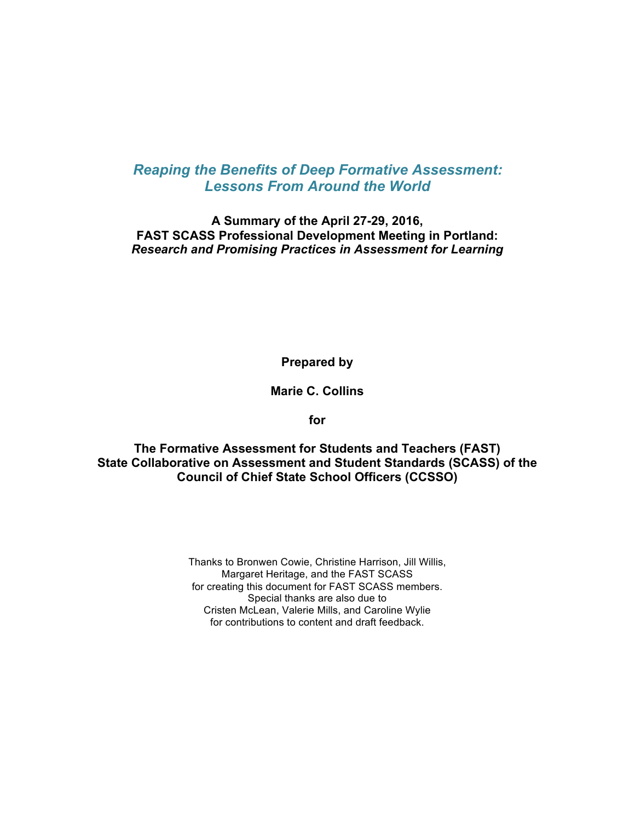# *Reaping the Benefits of Deep Formative Assessment: Lessons From Around the World*

**A Summary of the April 27-29, 2016, FAST SCASS Professional Development Meeting in Portland:**  *Research and Promising Practices in Assessment for Learning* 

**Prepared by**

**Marie C. Collins**

**for**

 **The Formative Assessment for Students and Teachers (FAST) State Collaborative on Assessment and Student Standards (SCASS) of the Council of Chief State School Officers (CCSSO)**

> Thanks to Bronwen Cowie, Christine Harrison, Jill Willis, Special thanks are also due to Cristen McLean, Valerie Mills, and Caroline Wylie Margaret Heritage, and the FAST SCASS for creating this document for FAST SCASS members. for contributions to content and draft feedback.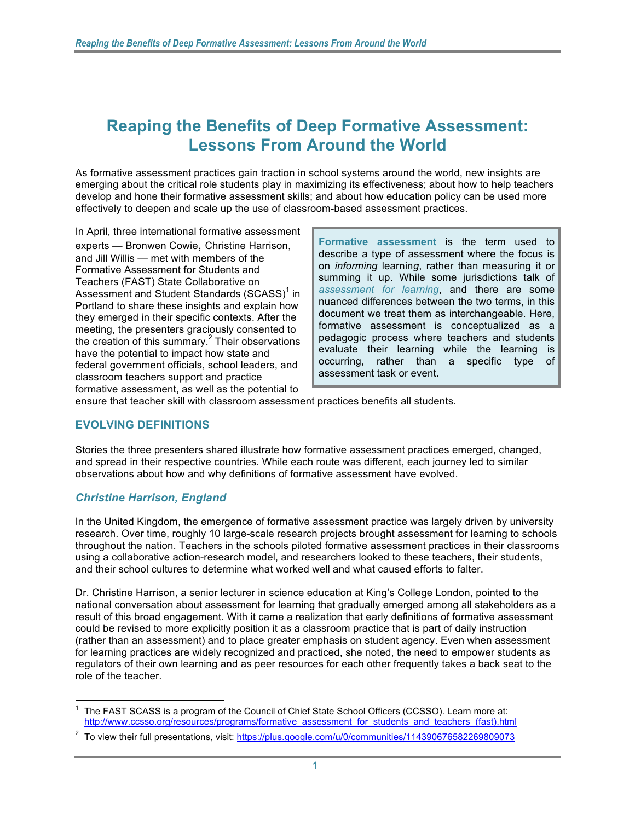# **Reaping the Benefits of Deep Formative Assessment: Lessons From Around the World**

 As formative assessment practices gain traction in school systems around the world, new insights are emerging about the critical role students play in maximizing its effectiveness; about how to help teachers develop and hone their formative assessment skills; and about how education policy can be used more effectively to deepen and scale up the use of classroom-based assessment practices.

experts - Bronwen Cowie, Christine Harrison, and Jill Willis - met with members of the Formative Assessment for Students and Teachers (FAST) State Collaborative on and Student Standards (SCASS)' in have the potential to impact how state and In April, three international formative assessment federal government officials, school leaders, and classroom teachers support and practice formative assessment, as well as the potential to

Formative assessment is the term used to experts — Bronwen Cowie, Christine Harrison, **Formative assessment** is the term used to and Jill Willis — met with members of the **describe a type of assessment where the focus is** summing it up. While some jurisdictions talk of *Teachers (FAST) State Collaborative on* **and** *assessment for learning*, and there are some Assessment and Student Standards (SCASS)<sup>1</sup> in *assessment for learning*, and there are some document we treat them as interchangeable. Here, formative assessment is conceptualized as a pedagogic process where teachers and students assessment task or event. on *informing* learning, rather than measuring it or Portland to share these insights and explain how document we treat them as interchangeable. Here, they emerged in their specific contexts. After the document we treat them as interchangeable. Here, meeting, the presenters graciously consented to  $\left\{\n\begin{array}{ll}\n\text{formative assessment is conceptualized as a}\n\text{mechanism, the presenters and students}\n\end{array}\n\right\}$ evaluate their learning while the learning is have the potential to impact how state and the potential to impa<br>have potential to impact the potential to impact the and the and the and the potential to impact the and the a

ensure that teacher skill with classroom assessment practices benefits all students.

# **EVOLVING DEFINITIONS**

 Stories the three presenters shared illustrate how formative assessment practices emerged, changed, and spread in their respective countries. While each route was different, each journey led to similar observations about how and why definitions of formative assessment have evolved.

#### *Christine Harrison, England*

 research. Over time, roughly 10 large-scale research projects brought assessment for learning to schools throughout the nation. Teachers in the schools piloted formative assessment practices in their classrooms using a collaborative action-research model, and researchers looked to these teachers, their students, In the United Kingdom, the emergence of formative assessment practice was largely driven by university and their school cultures to determine what worked well and what caused efforts to falter.

 national conversation about assessment for learning that gradually emerged among all stakeholders as a result of this broad engagement. With it came a realization that early definitions of formative assessment could be revised to more explicitly position it as a classroom practice that is part of daily instruction (rather than an assessment) and to place greater emphasis on student agency. Even when assessment role of the teacher. Dr. Christine Harrison, a senior lecturer in science education at King's College London, pointed to the for learning practices are widely recognized and practiced, she noted, the need to empower students as regulators of their own learning and as peer resources for each other frequently takes a back seat to the

 $\frac{1}{2}$ 1 The FAST SCASS is a program of the Council of Chief State School Officers (CCSSO). Learn more at: http://www.ccsso.org/resources/programs/formative\_assessment\_for\_students\_and\_teachers\_(fast).html

<sup>&</sup>lt;sup>2</sup> To view their full presentations, visit: https://plus.google.com/u/0/communities/114390676582269809073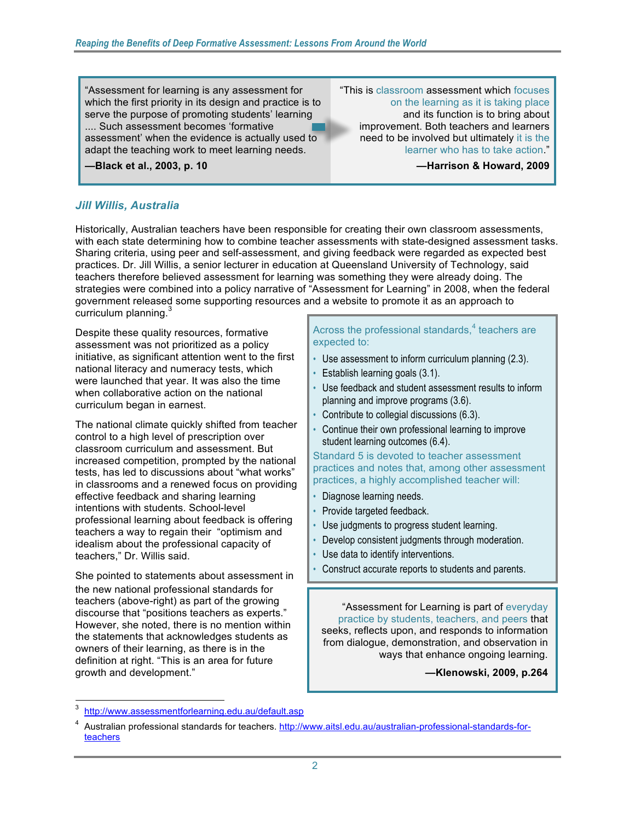which the first priority in its design and practice is to serve the purpose of promoting students' learning .... Such assessment becomes 'formative adapt the teaching work to meet learning needs. The section of learner who has to take action." .... Such assessment becomes 'formative **improvement.** Both teachers and learners "Assessment for learning is any assessment for assessment' when the evidence is actually used to some need to be involved but ultimately it is the

-Black et al., 2003, p. 10

"This is classroom assessment which focuses on the learning as it is taking place and its function is to bring about need to be involved but ultimately it is the learner who has to take action."

**-Harrison & Howard, 2009** 

#### *Jill Willis, Australia*

 Historically, Australian teachers have been responsible for creating their own classroom assessments, with each state determining how to combine teacher assessments with state-designed assessment tasks. Sharing criteria, using peer and self-assessment, and giving feedback were regarded as expected best practices. Dr. Jill Willis, a senior lecturer in education at Queensland University of Technology, said teachers therefore believed assessment for learning was something they were already doing. The strategies were combined into a policy narrative of "Assessment for Learning" in 2008, when the federal government released some supporting resources and a website to promote it as an approach to curriculum planning.<sup>3</sup>

 Despite these quality resources, formative assessment was not prioritized as a policy initiative, as significant attention went to the first national literacy and numeracy tests, which were launched that year. It was also the time curriculum began in earnest. when collaborative action on the national

 The national climate quickly shifted from teacher control to a high level of prescription over classroom curriculum and assessment. But tests, has led to discussions about "what works" in classrooms and a renewed focus on providing professional learning about feedback is offering idealism about the professional capacity of teachers," Dr. Willis said. increased competition, prompted by the national effective feedback and sharing learning intentions with students. School-level teachers a way to regain their "optimism and

 the new national professional standards for teachers (above-right) as part of the growing discourse that "positions teachers as experts." owners of their learning, as there is in the definition at right. "This is an area for future She pointed to statements about assessment in However, she noted, there is no mention within the statements that acknowledges students as growth and development."

#### Across the professional standards, $4$  teachers are expected to:

- Use assessment to inform curriculum planning (2.3).
- Establish learning goals (3.1).
- Use feedback and student assessment results to inform planning and improve programs (3.6).
- Contribute to collegial discussions (6.3).
- Continue their own professional learning to improve student learning outcomes (6.4).

Standard 5 is devoted to teacher assessment practices and notes that, among other assessment practices, a highly accomplished teacher will:

- Diagnose learning needs.
- Provide targeted feedback.
- Use judgments to progress student learning.
- Develop consistent judgments through moderation.
- Use data to identify interventions.
- Construct accurate reports to students and parents.

"Assessment for Learning is part of everyday practice by students, teachers, and peers that seeks, reflects upon, and responds to information from dialogue, demonstration, and observation in ways that enhance ongoing learning.

**—Klenowski, 2009, p.264** 

 $\frac{1}{2}$ 3 http://www.assessmentforlearning.edu.au/default.asp

<sup>4</sup> Australian professional standards for teachers. http://www.aitsl.edu.au/australian-professional-standards-for[teachers](http://www.aitsl.edu.au/australian-professional-standards-for-teachers)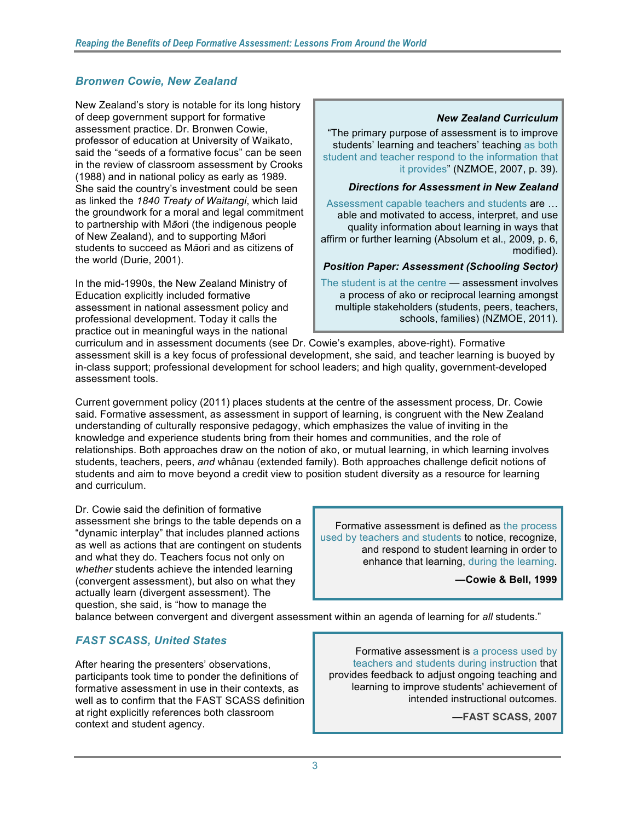## *Bronwen Cowie, New Zealand*

 New Zealand's story is notable for its long history of deep government support for formative assessment practice. Dr. Bronwen Cowie, professor of education at University of Waikato, said the "seeds of a formative focus" can be seen in the review of classroom assessment by Crooks (1988) and in national policy as early as 1989. She said the country's investment could be seen  as linked the *1840 Treaty of Waitangi*, which laid the groundwork for a moral and legal commitment of New Zealand), and to supporting M*ā*ori students to succeed as M*ā*ori and as citizens of to partnership with M*ā*ori (the indigenous people the world (Durie, 2001).

 In the mid-1990s, the New Zealand Ministry of Education explicitly included formative assessment in national assessment policy and practice out in meaningful ways in the national professional development. Today it calls the

#### *New Zealand Curriculum*

 "The primary purpose of assessment is to improve students' learning and teachers' teaching as both student and teacher respond to the information that it provides" (NZMOE, 2007, p. 39).

#### *Directions for Assessment in New Zealand*

Assessment capable teachers and students are ... quality information about learning in ways that affirm or further learning (Absolum et al., 2009, p. 6, able and motivated to access, interpret, and use modified).

#### *Position Paper: Assessment (Schooling Sector)*

The student is at the centre - assessment involves a process of ako or reciprocal learning amongst multiple stakeholders (students, peers, teachers, schools, families) (NZMOE, 2011).

 curriculum and in assessment documents (see Dr. Cowie's examples, above-right). Formative assessment skill is a key focus of professional development, she said, and teacher learning is buoyed by in-class support; professional development for school leaders; and high quality, government-developed assessment tools.

 Current government policy (2011) places students at the centre of the assessment process, Dr. Cowie said. Formative assessment, as assessment in support of learning, is congruent with the New Zealand understanding of culturally responsive pedagogy, which emphasizes the value of inviting in the knowledge and experience students bring from their homes and communities, and the role of relationships. Both approaches draw on the notion of ako, or mutual learning, in which learning involves students, teachers, peers, *and* whânau (extended family). Both approaches challenge deficit notions of students and aim to move beyond a credit view to position student diversity as a resource for learning and curriculum.

 Dr. Cowie said the definition of formative and what they do. Teachers focus not only on question, she said, is "how to manage the assessment she brings to the table depends on a "dynamic interplay" that includes planned actions as well as actions that are contingent on students *whether* students achieve the intended learning (convergent assessment), but also on what they actually learn (divergent assessment). The

 Formative assessment is defined as the process used by teachers and students to notice, recognize, and respond to student learning in order to enhance that learning, during the learning.

 **—Cowie & Bell, 1999** 

I

balance between convergent and divergent assessment within an agenda of learning for *all* students."

# *FAST SCASS, United States*

 participants took time to ponder the definitions of formative assessment in use in their contexts, as well as to confirm that the FAST SCASS definition at right explicitly references both classroom context and student agency. After hearing the presenters' observations,

 Formative assessment is a process used by provides feedback to adjust ongoing teaching and learning to improve students' achievement of teachers and students during instruction that intended instructional outcomes.

**—FAST SCASS, 2007**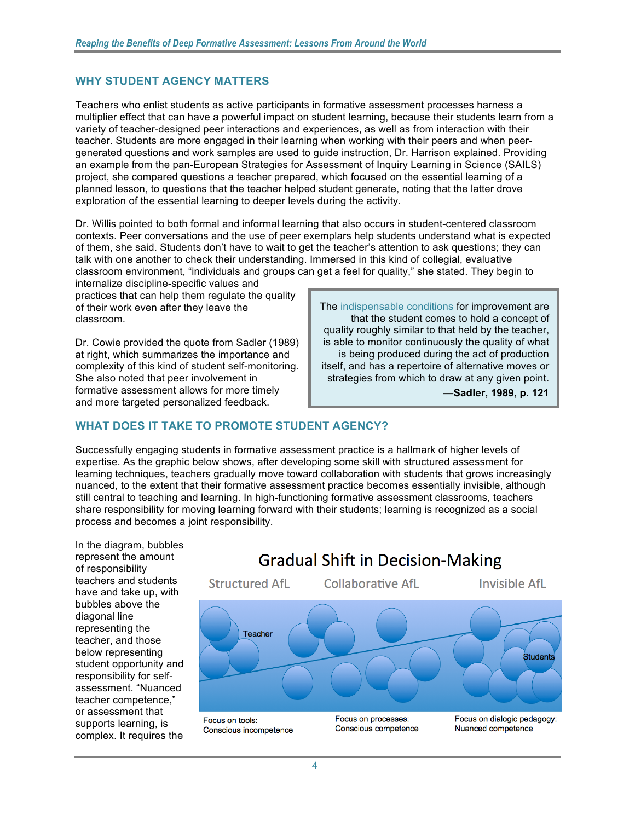#### **WHY STUDENT AGENCY MATTERS**

 Teachers who enlist students as active participants in formative assessment processes harness a multiplier effect that can have a powerful impact on student learning, because their students learn from a variety of teacher-designed peer interactions and experiences, as well as from interaction with their teacher. Students are more engaged in their learning when working with their peers and when peer- an example from the pan-European Strategies for Assessment of Inquiry Learning in Science (SAILS) exploration of the essential learning to deeper levels during the activity. generated questions and work samples are used to guide instruction, Dr. Harrison explained. Providing project, she compared questions a teacher prepared, which focused on the essential learning of a planned lesson, to questions that the teacher helped student generate, noting that the latter drove

 Dr. Willis pointed to both formal and informal learning that also occurs in student-centered classroom classroom environment, "individuals and groups can get a feel for quality," she stated. They begin to contexts. Peer conversations and the use of peer exemplars help students understand what is expected of them, she said. Students don't have to wait to get the teacher's attention to ask questions; they can talk with one another to check their understanding. Immersed in this kind of collegial, evaluative internalize discipline-specific values and

 of their work even after they leave the classroom. practices that can help them regulate the quality

classroom.<br>Dr. Cowie provided the quote from Sadler (1989) at right, which summarizes the importance and complexity of this kind of student self-monitoring. formative assessment allows for more timely She also noted that peer involvement in and more targeted personalized feedback.

 quality roughly similar to that held by the teacher, is able to monitor continuously the quality of what is being produced during the act of production itself, and has a repertoire of alternative moves or strategies from which to draw at any given point. The indispensable conditions for improvement are that the student comes to hold a concept of

 **—Sadler, 1989, p. 121** 

#### **WHAT DOES IT TAKE TO PROMOTE STUDENT AGENCY?**

 learning techniques, teachers gradually move toward collaboration with students that grows increasingly nuanced, to the extent that their formative assessment practice becomes essentially invisible, although still central to teaching and learning. In high-functioning formative assessment classrooms, teachers share responsibility for moving learning forward with their students; learning is recognized as a social process and becomes a joint responsibility. Successfully engaging students in formative assessment practice is a hallmark of higher levels of expertise. As the graphic below shows, after developing some skill with structured assessment for

 represent the amount representing the complex. It requires the In the diagram, bubbles of responsibility teachers and students have and take up, with bubbles above the diagonal line teacher, and those below representing student opportunity and responsibility for selfassessment. "Nuanced teacher competence," or assessment that supports learning, is

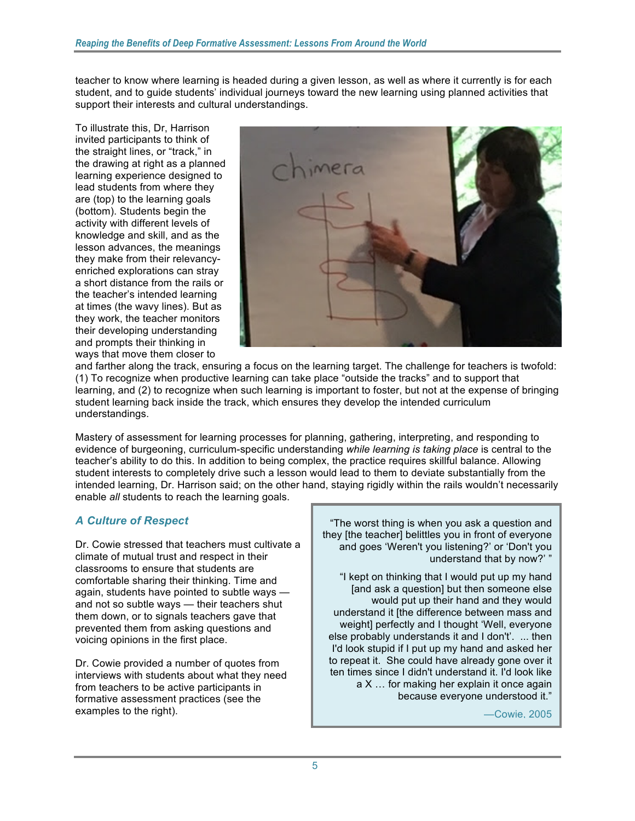teacher to know where learning is headed during a given lesson, as well as where it currently is for each support their interests and cultural understandings.<br>To illustrate this, Dr, Harrison student, and to quide students' individual journeys toward the new learning using planned activities that

To illustrate this, Dr, Harrison invited participants to think of learning experience designed to lead students from where they (bottom). Students begin the knowledge and skill, and as the lesson advances, the meanings at times (the wavy lines). But as and prompts their thinking in ways that move them closer to the straight lines, or "track," in the drawing at right as a planned are (top) to the learning goals activity with different levels of they make from their relevancyenriched explorations can stray a short distance from the rails or the teacher's intended learning they work, the teacher monitors their developing understanding



 learning, and (2) to recognize when such learning is important to foster, but not at the expense of bringing and farther along the track, ensuring a focus on the learning target. The challenge for teachers is twofold: (1) To recognize when productive learning can take place "outside the tracks" and to support that student learning back inside the track, which ensures they develop the intended curriculum understandings.

 Mastery of assessment for learning processes for planning, gathering, interpreting, and responding to student interests to completely drive such a lesson would lead to them to deviate substantially from the enable *all* students to reach the learning goals. evidence of burgeoning, curriculum-specific understanding *while learning is taking place* is central to the teacher's ability to do this. In addition to being complex, the practice requires skillful balance. Allowing intended learning, Dr. Harrison said; on the other hand, staying rigidly within the rails wouldn't necessarily

# *A Culture of Respect*

 Dr. Cowie stressed that teachers must cultivate a climate of mutual trust and respect in their comfortable sharing their thinking. Time and prevented them from asking questions and voicing opinions in the first place. classrooms to ensure that students are again, students have pointed to subtle ways and not so subtle ways — their teachers shut them down, or to signals teachers gave that

 Dr. Cowie provided a number of quotes from interviews with students about what they need from teachers to be active participants in formative assessment practices (see the examples to the right).

 "The worst thing is when you ask a question and and goes 'Weren't you listening?' or 'Don't you understand that by now?' " they [the teacher] belittles you in front of everyone

 "I kept on thinking that I would put up my hand would put up their hand and they would weight] perfectly and I thought 'Well, everyone else probably understands it and I don't'. ... then ten times since I didn't understand it. I'd look like a X … for making her explain it once again [and ask a question] but then someone else understand it [the difference between mass and I'd look stupid if I put up my hand and asked her to repeat it. She could have already gone over it because everyone understood it."

—Cowie, 2005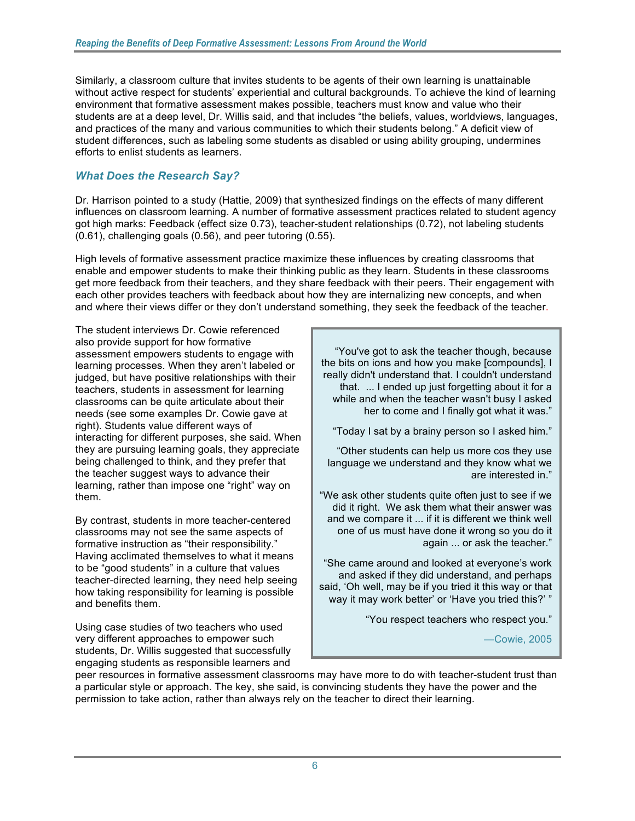Similarly, a classroom culture that invites students to be agents of their own learning is unattainable without active respect for students' experiential and cultural backgrounds. To achieve the kind of learning environment that formative assessment makes possible, teachers must know and value who their students are at a deep level, Dr. Willis said, and that includes "the beliefs, values, worldviews, languages, and practices of the many and various communities to which their students belong." A deficit view of student differences, such as labeling some students as disabled or using ability grouping, undermines efforts to enlist students as learners.

# *What Does the Research Say?*

 Dr. Harrison pointed to a study (Hattie, 2009) that synthesized findings on the effects of many different got high marks: Feedback (effect size 0.73), teacher-student relationships (0.72), not labeling students (0.61), challenging goals (0.56), and peer tutoring (0.55). influences on classroom learning. A number of formative assessment practices related to student agency

 High levels of formative assessment practice maximize these influences by creating classrooms that enable and empower students to make their thinking public as they learn. Students in these classrooms get more feedback from their teachers, and they share feedback with their peers. Their engagement with each other provides teachers with feedback about how they are internalizing new concepts, and when and where their views differ or they don't understand something, they seek the feedback of the teacher.

 The student interviews Dr. Cowie referenced also provide support for how formative assessment empowers students to engage with learning processes. When they aren't labeled or needs (see some examples Dr. Cowie gave at right). Students value different ways of interacting for different purposes, she said. When learning, rather than impose one "right" way on judged, but have positive relationships with their teachers, students in assessment for learning classrooms can be quite articulate about their they are pursuing learning goals, they appreciate being challenged to think, and they prefer that the teacher suggest ways to advance their them.

 By contrast, students in more teacher-centered classrooms may not see the same aspects of formative instruction as "their responsibility." Having acclimated themselves to what it means how taking responsibility for learning is possible and benefits them. to be "good students" in a culture that values teacher-directed learning, they need help seeing

and benefits them.<br>Using case studies of two teachers who used students, Dr. Willis suggested that successfully engaging students as responsible learners and very different approaches to empower such

 "You've got to ask the teacher though, because really didn't understand that. I couldn't understand while and when the teacher wasn't busy I asked her to come and I finally got what it was." the bits on ions and how you make [compounds], I that. ... I ended up just forgetting about it for a

"Today I sat by a brainy person so I asked him."

 "Other students can help us more cos they use language we understand and they know what we are interested in."

 "We ask other students quite often just to see if we and we compare it ... if it is different we think well one of us must have done it wrong so you do it again ... or ask the teacher." did it right. We ask them what their answer was

 "She came around and looked at everyone's work and asked if they did understand, and perhaps said, 'Oh well, may be if you tried it this way or that way it may work better' or 'Have you tried this?' "

"You respect teachers who respect you."

—Cowie, 2005

 peer resources in formative assessment classrooms may have more to do with teacher-student trust than a particular style or approach. The key, she said, is convincing students they have the power and the permission to take action, rather than always rely on the teacher to direct their learning.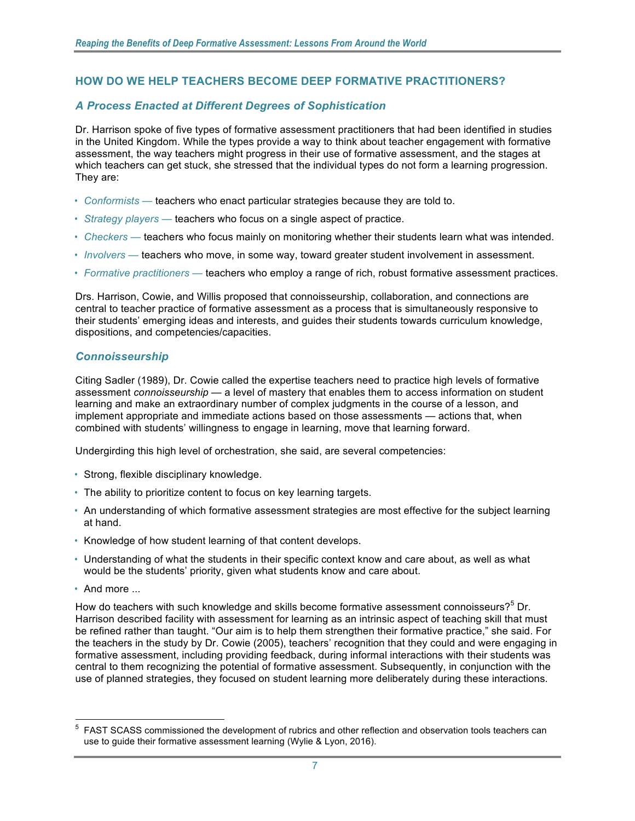# **HOW DO WE HELP TEACHERS BECOME DEEP FORMATIVE PRACTITIONERS?**

# *A Process Enacted at Different Degrees of Sophistication*

 in the United Kingdom. While the types provide a way to think about teacher engagement with formative assessment, the way teachers might progress in their use of formative assessment, and the stages at Dr. Harrison spoke of five types of formative assessment practitioners that had been identified in studies which teachers can get stuck, she stressed that the individual types do not form a learning progression. They are:

- Conformists teachers who enact particular strategies because they are told to.
- • *Strategy players* teachers who focus on a single aspect of practice.
- • *Checkers* teachers who focus mainly on monitoring whether their students learn what was intended.
- • *Involvers* teachers who move, in some way, toward greater student involvement in assessment.
- • *Formative practitioners* teachers who employ a range of rich, robust formative assessment practices.

Drs. Harrison, Cowie, and Willis proposed that connoisseurship, collaboration, and connections are central to teacher practice of formative assessment as a process that is simultaneously responsive to their students' emerging ideas and interests, and guides their students towards curriculum knowledge, dispositions, and competencies/capacities.

#### *Connoisseurship*

 assessment *connoisseurship* — a level of mastery that enables them to access information on student learning and make an extraordinary number of complex judgments in the course of a lesson, and combined with students' willingness to engage in learning, move that learning forward. Citing Sadler (1989), Dr. Cowie called the expertise teachers need to practice high levels of formative implement appropriate and immediate actions based on those assessments — actions that, when

Undergirding this high level of orchestration, she said, are several competencies:

- Strong, flexible disciplinary knowledge.
- The ability to prioritize content to focus on key learning targets.
- • An understanding of which formative assessment strategies are most effective for the subject learning at hand.
- Knowledge of how student learning of that content develops.
- • Understanding of what the students in their specific context know and care about, as well as what would be the students' priority, given what students know and care about.
- And more ...

<u>.</u>

How do teachers with such knowledge and skills become formative assessment connoisseurs?<sup>5</sup> Dr. Harrison described facility with assessment for learning as an intrinsic aspect of teaching skill that must central to them recognizing the potential of formative assessment. Subsequently, in conjunction with the use of planned strategies, they focused on student learning more deliberately during these interactions. be refined rather than taught. "Our aim is to help them strengthen their formative practice," she said. For the teachers in the study by Dr. Cowie (2005), teachers' recognition that they could and were engaging in formative assessment, including providing feedback, during informal interactions with their students was

 use to guide their formative assessment learning (Wylie & Lyon, 2016).  $5$  FAST SCASS commissioned the development of rubrics and other reflection and observation tools teachers can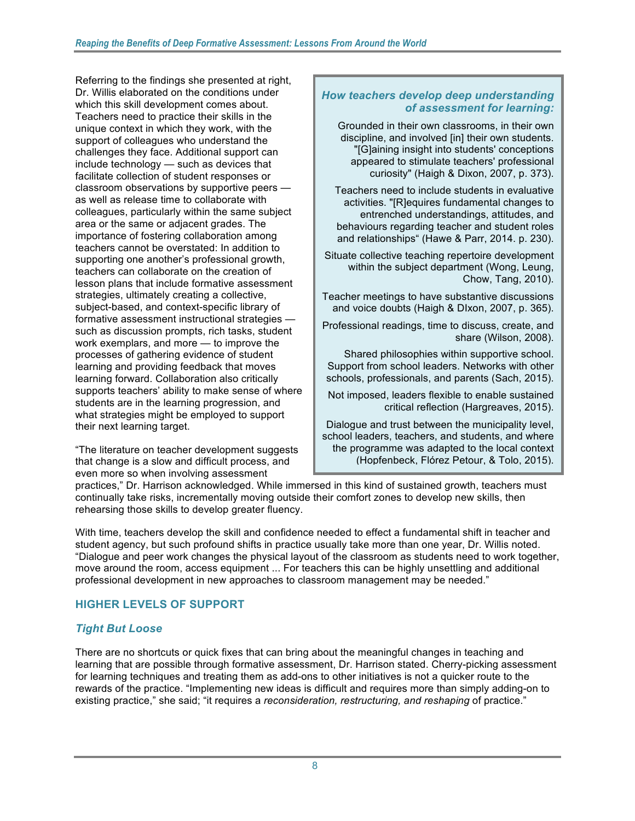Referring to the findings she presented at right, Teachers need to practice their skills in the support of colleagues who understand the facilitate collection of student responses or classroom observations by supportive peers — as well as release time to collaborate with area or the same or adjacent grades. The importance of fostering collaboration among supporting one another's professional growth, lesson plans that include formative assessment subject-based, and context-specific library of such as discussion prompts, rich tasks, student work exemplars, and more — to improve the processes of gathering evidence of student learning forward. Collaboration also critically students are in the learning progression, and what strategies might be employed to support their next learning target. Dr. Willis elaborated on the conditions under which this skill development comes about. unique context in which they work, with the challenges they face. Additional support can include technology — such as devices that colleagues, particularly within the same subject teachers cannot be overstated: In addition to teachers can collaborate on the creation of strategies, ultimately creating a collective, formative assessment instructional strategies learning and providing feedback that moves supports teachers' ability to make sense of where

 even more so when involving assessment "The literature on teacher development suggests that change is a slow and difficult process, and

### *How teachers develop deep understanding of assessment for learning:*

 Grounded in their own classrooms, in their own curiosity" (Haigh & Dixon, 2007, p. 373). discipline, and involved [in] their own students. "[G]aining insight into students' conceptions appeared to stimulate teachers' professional

 Teachers need to include students in evaluative entrenched understandings, attitudes, and behaviours regarding teacher and student roles and relationships" (Hawe & Parr, 2014. p. 230). activities. "[R]equires fundamental changes to

 Situate collective teaching repertoire development within the subject department (Wong, Leung, Chow, Tang, 2010).

 Teacher meetings to have substantive discussions and voice doubts (Haigh & DIxon, 2007, p. 365).

 Professional readings, time to discuss, create, and share (Wilson, 2008).

 Shared philosophies within supportive school. Support from school leaders. Networks with other schools, professionals, and parents (Sach, 2015).

 Not imposed, leaders flexible to enable sustained critical reflection (Hargreaves, 2015).

 Dialogue and trust between the municipality level, school leaders, teachers, and students, and where (Hopfenbeck, Flórez Petour, & Tolo, 2015). the programme was adapted to the local context

 practices," Dr. Harrison acknowledged. While immersed in this kind of sustained growth, teachers must continually take risks, incrementally moving outside their comfort zones to develop new skills, then rehearsing those skills to develop greater fluency.

 "Dialogue and peer work changes the physical layout of the classroom as students need to work together, move around the room, access equipment ... For teachers this can be highly unsettling and additional professional development in new approaches to classroom management may be needed." With time, teachers develop the skill and confidence needed to effect a fundamental shift in teacher and student agency, but such profound shifts in practice usually take more than one year, Dr. Willis noted.

# **HIGHER LEVELS OF SUPPORT**

# *Tight But Loose*

 There are no shortcuts or quick fixes that can bring about the meaningful changes in teaching and learning that are possible through formative assessment, Dr. Harrison stated. Cherry-picking assessment for learning techniques and treating them as add-ons to other initiatives is not a quicker route to the rewards of the practice. "Implementing new ideas is difficult and requires more than simply adding-on to existing practice," she said; "it requires a *reconsideration, restructuring, and reshaping* of practice."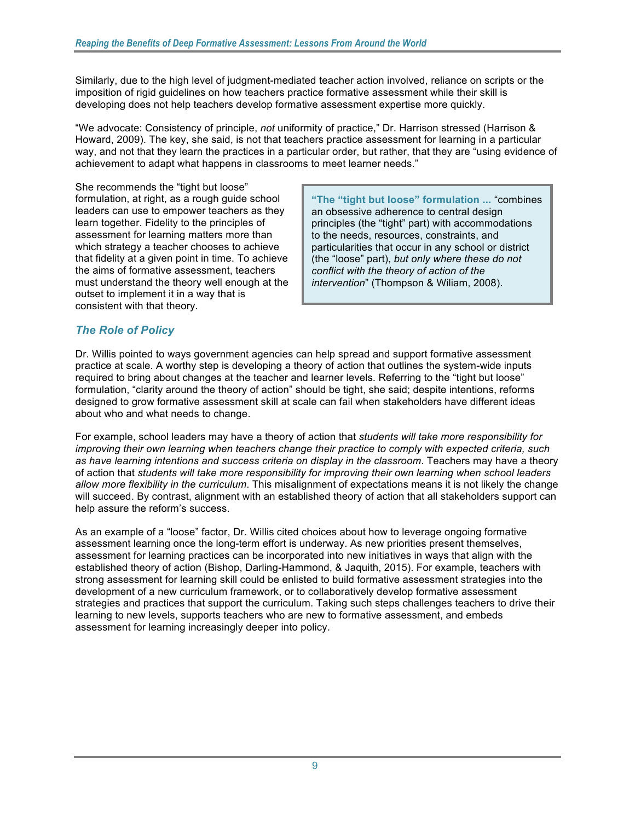Similarly, due to the high level of judgment-mediated teacher action involved, reliance on scripts or the developing does not help teachers develop formative assessment expertise more quickly. imposition of rigid guidelines on how teachers practice formative assessment while their skill is

developing does not help teachers develop formative assessment expertise more quickly.<br>"We advocate: Consistency of principle, *not* uniformity of practice," Dr. Harrison stressed (Harrison & Howard, 2009). The key, she said, is not that teachers practice assessment for learning in a particular way, and not that they learn the practices in a particular order, but rather, that they are "using evidence of achievement to adapt what happens in classrooms to meet learner needs."

 She recommends the "tight but loose" formulation, at right, as a rough guide school leaders can use to empower teachers as they  $\parallel$  an obsessive adherence to central design learn together. Fidelity to the principles of assessment for learning matters more than the the needs, resources, constraints, and must understand the theory well enough at the outset to implement it in a way that is consistent with that theory. that fidelity at a given point in time. To achieve  $\parallel$  (the "loose" part), *but only where these do not* the aims of formative assessment, teachers *conflict with the theory of action of the* 

 formulation, at right, as a rough guide school **"The "tight but loose" formulation ...** "combines learn together. Fidelity to the principles of  $\|\cdot\|$  principles (the "tight" part) with accommodations which strategy a teacher chooses to achieve  $\Box$  particularities that occur in any school or district intervention" (Thompson & Wiliam, 2008).

# *The Role of Policy*

 Dr. Willis pointed to ways government agencies can help spread and support formative assessment practice at scale. A worthy step is developing a theory of action that outlines the system-wide inputs required to bring about changes at the teacher and learner levels. Referring to the "tight but loose" designed to grow formative assessment skill at scale can fail when stakeholders have different ideas formulation, "clarity around the theory of action" should be tight, she said; despite intentions, reforms about who and what needs to change.

 For example, school leaders may have a theory of action that *students will take more responsibility for improving their own learning when teachers change their practice to comply with expected criteria, such*  of action that *students will take more responsibility for improving their own learning when school leaders allow more flexibility in the curriculum*. This misalignment of expectations means it is not likely the change will succeed. By contrast, alignment with an established theory of action that all stakeholders support can *as have learning intentions and success criteria on display in the classroom*. Teachers may have a theory help assure the reform's success.

 As an example of a "loose" factor, Dr. Willis cited choices about how to leverage ongoing formative assessment learning once the long-term effort is underway. As new priorities present themselves, assessment for learning practices can be incorporated into new initiatives in ways that align with the established theory of action (Bishop, Darling-Hammond, & Jaquith, 2015). For example, teachers with strong assessment for learning skill could be enlisted to build formative assessment strategies into the development of a new curriculum framework, or to collaboratively develop formative assessment strategies and practices that support the curriculum. Taking such steps challenges teachers to drive their learning to new levels, supports teachers who are new to formative assessment, and embeds assessment for learning increasingly deeper into policy.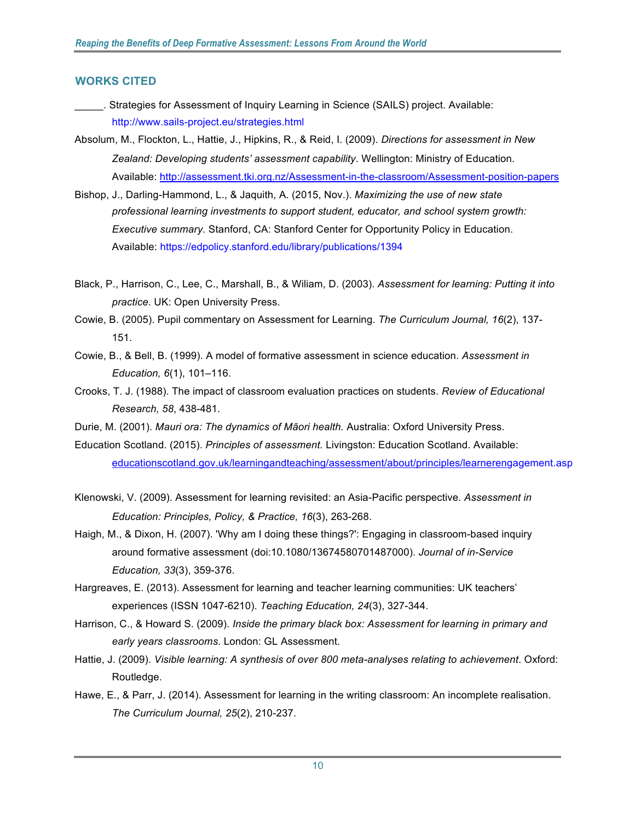#### **WORKS CITED**

- \_\_\_\_\_. Strategies for Assessment of Inquiry Learning in Science (SAILS) project. Available: http://www.sails-project.eu/strategies.html
- Absolum, M., Flockton, L., Hattie, J., Hipkins, R., & Reid, I. (2009). *Directions for assessment in New Zealand: Developing students' assessment capability*. Wellington: Ministry of Education.
- Available: http://assessment.tki.org.nz/Assessment-in-the-classroom/Assessment-position-papers Bishop, J., Darling-Hammond, L., & Jaquith, A. (2015, Nov.). *Maximizing the use of new state*  Bishop, J., Darling-Hammond, L., & Jaquith, A. (2015, Nov.). Maximizing the use of new state  *professional learning investments to support student, educator, and school system growth: Executive summary.* Stanford, CA: Stanford Center for Opportunity Policy in Education. Available: https://edpolicy.stanford.edu/library/publications/1394
- Black, P., Harrison, C., Lee, C., Marshall, B., & Wiliam, D. (2003). *Assessment for learning: Putting it into practice*. UK: Open University Press.
- Cowie, B. (2005). Pupil commentary on Assessment for Learning. *The Curriculum Journal, 16*(2), 137- 151.
- Cowie, B., & Bell, B. (1999). A model of formative assessment in science education. *Assessment in*  Education, 6(1), 101-116.
- *Education, 6*(1), 101–116. Crooks, T. J. (1988). The impact of classroom evaluation practices on students. *Review of Educational Research, 58*, 438-481.
- Durie, M. (2001). *Mauri ora: The dynamics of Māori health.* Australia: Oxford University Press.
- Education Scotland. (2015). *Principles of assessment.* Livingston: Education Scotland. Available: educationscotland.gov.uk/learningandteaching/assessment/about/principles/learnerengagement.asp
- Klenowski, V. (2009). Assessment for learning revisited: an Asia-Pacific perspective. *Assessment in Education: Principles, Policy, & Practice, 16*(3), 263-268.
- Haigh, M., & Dixon, H. (2007). 'Why am I doing these things?': Engaging in classroom-based inquiry  around formative assessment (doi:10.1080/13674580701487000). *Journal of in-Service*  Education, 33(3), 359-376.
- *Education, 33*(3), 359-376. Hargreaves, E. (2013). Assessment for learning and teacher learning communities: UK teachers' experiences (ISSN 1047-6210). *Teaching Education, 24*(3), 327-344.
- Harrison, C., & Howard S. (2009). *Inside the primary black box: Assessment for learning in primary and early years classrooms*. London: GL Assessment.
- Hattie, J. (2009). *Visible learning: A synthesis of over 800 meta-analyses relating to achievement*. Oxford: Routledge.
- Hawe, E., & Parr, J. (2014). Assessment for learning in the writing classroom: An incomplete realisation.  *The Curriculum Journal, 25*(2), 210-237.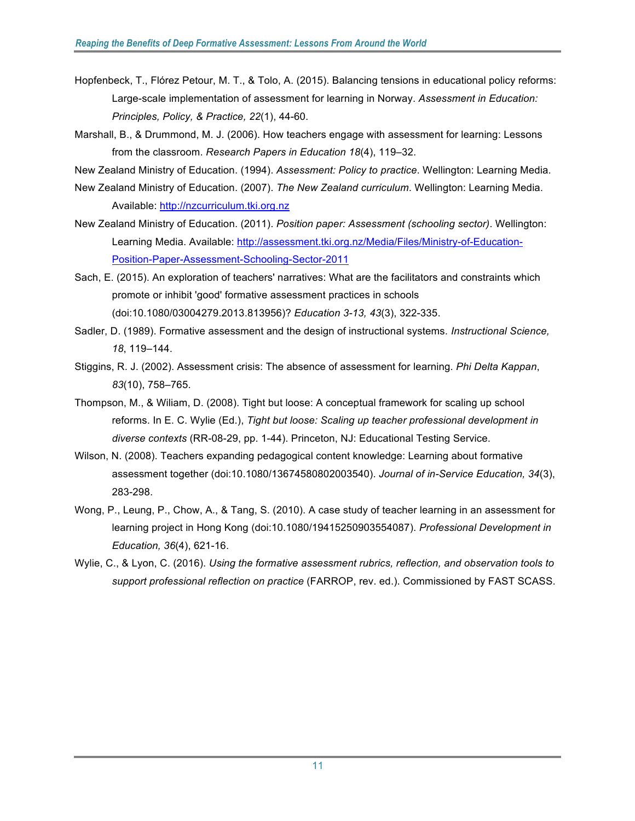- Hopfenbeck, T., Flórez Petour, M. T., & Tolo, A. (2015). Balancing tensions in educational policy reforms: Large-scale implementation of assessment for learning in Norway. *Assessment in Education: Principles, Policy, & Practice, 22*(1), 44-60.
- Marshall, B., & Drummond, M. J. (2006). How teachers engage with assessment for learning: Lessons  from the classroom. *Research Papers in Education 18*(4), 119–32.

New Zealand Ministry of Education. (1994). *Assessment: Policy to practice*. Wellington: Learning Media.

- New Zealand Ministry of Education. (2007). *The New Zealand curriculum*. Wellington: Learning Media. Available: http://nzcurriculum.tki.org.nz
- New Zealand Ministry of Education. (2011). *Position paper: Assessment (schooling sector)*. Wellington: Learning Media. Available: http://assessment.tki.org.nz/Media/Files/Ministry-of-Education-[Position-Paper-Assessment-Schooling-Sector-2011](http://assessment.tki.org.nz/Assessment-in-the-classroom/Assessment-position-papers)
- Sach, E. (2015). An exploration of teachers' narratives: What are the facilitators and constraints which promote or inhibit 'good' formative assessment practices in schools (doi:10.1080/03004279.2013.813956)? *Education 3-13, 43*(3), 322-335.
- Sadler, D. (1989). Formative assessment and the design of instructional systems. *Instructional Science, 18*, 119–144.
- Stiggins, R. J. (2002). Assessment crisis: The absence of assessment for learning. *Phi Delta Kappan*, *83*(10), 758–765.
- Thompson, M., & Wiliam, D. (2008). Tight but loose: A conceptual framework for scaling up school reforms. In E. C. Wylie (Ed.), *Tight but loose: Scaling up teacher professional development in diverse contexts* (RR-08-29, pp. 1-44). Princeton, NJ: Educational Testing Service.
- Wilson, N. (2008). Teachers expanding pedagogical content knowledge: Learning about formative assessment together (doi:10.1080/13674580802003540). *Journal of in-Service Education, 34*(3), 283-298.
- Wong, P., Leung, P., Chow, A., & Tang, S. (2010). A case study of teacher learning in an assessment for learning project in Hong Kong (doi:10.1080/19415250903554087). *Professional Development in*  Education, 36(4), 621-16.
- *Education, 36*(4), 621-16. Wylie, C., & Lyon, C. (2016). *Using the formative assessment rubrics, reflection, and observation tools to support professional reflection on practice* (FARROP, rev. ed.). Commissioned by FAST SCASS.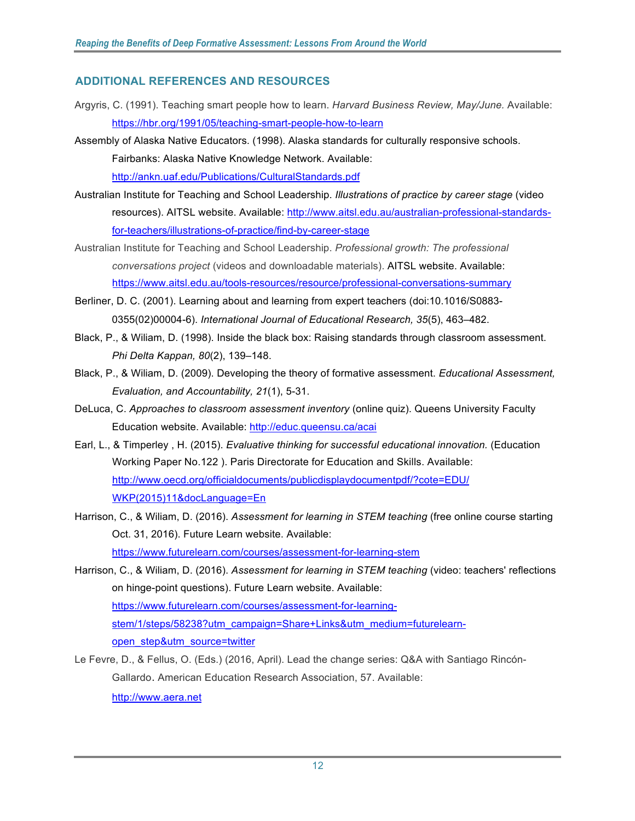#### **ADDITIONAL REFERENCES AND RESOURCES**

- Argyris, C. (1991). Teaching smart people how to learn. *Harvard Business Review, May/June.* Available: https://hbr.org/1991/05/teaching-smart-people-how-to-learn
- Assembly of Alaska Native Educators. (1998). Alaska standards for culturally responsive schools. Fairbanks: Alaska Native Knowledge Network. Available: http://ankn.uaf.edu/Publications/CulturalStandards.pdf
- Australian Institute for Teaching and School Leadership. *Illustrations of practice by career stage* (video for-teachers/illustrations-of-practice/find-by-career-stage resources). AITSL website. Available: http://www.aitsl.edu.au/australian-professional-standards-
- [for-teachers/illustrations-of-practice/find-by-career-stage](https://legacy.aitsl.edu.au/australian-professional-standards-for-teachers/illustrations-of-practice/find-by-career-stage) Australian Institute for Teaching and School Leadership. *Professional growth: The professional conversations project* (videos and downloadable materials). AITSL website. Available: https://www.aitsl.edu.au/tools-resources/resource/professional-conversations-summary
- Berliner, D. C. (2001). Learning about and learning from expert teachers (doi:10.1016/S0883- 0355(02)00004-6). *International Journal of Educational Research, 35*(5), 463–482.
- Black, P., & Wiliam, D. (1998). Inside the black box: Raising standards through classroom assessment.  *Phi Delta Kappan, 80*(2), 139–148.
- Black, P., & Wiliam, D. (2009). Developing the theory of formative assessment. *Educational Assessment, Evaluation, and Accountability, 21*(1), 5-31.
- DeLuca, C. *Approaches to classroom assessment inventory* (online quiz). Queens University Faculty Education website. Available: http://educ.queensu.ca/acai
- Earl, L., & Timperley , H. (2015). *Evaluative thinking for successful educational innovation.* (Education Working Paper No.122 ). Paris Directorate for Education and Skills. Available: http://www.oecd.org/officialdocuments/publicdisplaydocumentpdf/?cote=EDU/ WKP(2015)11&docLanguage=En
- Harrison, C., & Wiliam, D. (2016). *Assessment for learning in STEM teaching* (free online course starting Oct. 31, 2016). Future Learn website. Available: https://www.futurelearn.com/courses/assessment-for-learning-stem
- Harrison, C., & Wiliam, D. (2016). *Assessment for learning in STEM teaching* (video: teachers' reflections on hinge-point questions). Future Learn website. Available: https://www.futurelearn.com/courses/assessment-for-learningstem/1/steps/58238?utm\_campaign=Share+Links&utm\_medium=futurelearnopen\_step&utm\_source=twitter
- Le Fevre, D., & Fellus, O. (Eds.) (2016, April). Lead the change series: Q&A with Santiago Rincón- Gallardo. American Education Research Association, 57. Available: http://www.aera.net